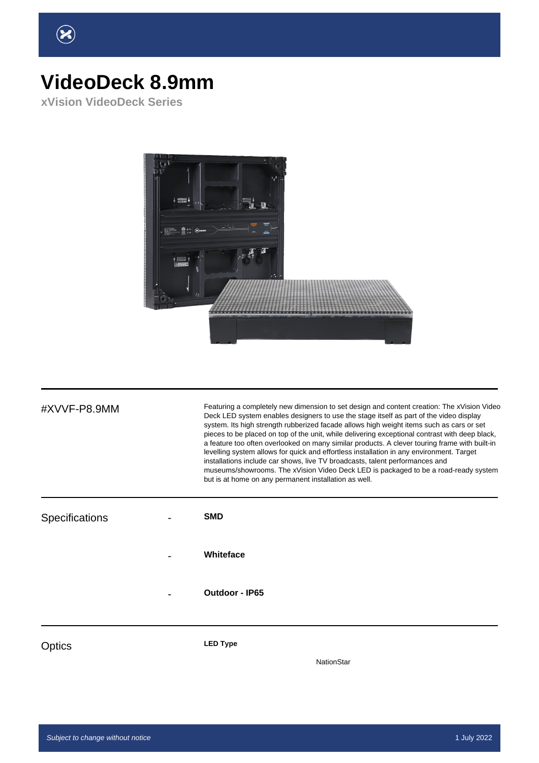

## **VideoDeck 8.9mm**

**xVision VideoDeck Series**



| #XVVF-P8.9MM          | Featuring a completely new dimension to set design and content creation: The xVision Video<br>Deck LED system enables designers to use the stage itself as part of the video display<br>system. Its high strength rubberized facade allows high weight items such as cars or set<br>pieces to be placed on top of the unit, while delivering exceptional contrast with deep black,<br>a feature too often overlooked on many similar products. A clever touring frame with built-in<br>levelling system allows for quick and effortless installation in any environment. Target<br>installations include car shows, live TV broadcasts, talent performances and<br>museums/showrooms. The xVision Video Deck LED is packaged to be a road-ready system<br>but is at home on any permanent installation as well. |
|-----------------------|-----------------------------------------------------------------------------------------------------------------------------------------------------------------------------------------------------------------------------------------------------------------------------------------------------------------------------------------------------------------------------------------------------------------------------------------------------------------------------------------------------------------------------------------------------------------------------------------------------------------------------------------------------------------------------------------------------------------------------------------------------------------------------------------------------------------|
| <b>Specifications</b> | <b>SMD</b>                                                                                                                                                                                                                                                                                                                                                                                                                                                                                                                                                                                                                                                                                                                                                                                                      |
|                       | Whiteface                                                                                                                                                                                                                                                                                                                                                                                                                                                                                                                                                                                                                                                                                                                                                                                                       |
|                       | <b>Outdoor - IP65</b>                                                                                                                                                                                                                                                                                                                                                                                                                                                                                                                                                                                                                                                                                                                                                                                           |
| Optics                | <b>LED Type</b><br><b>NationStar</b>                                                                                                                                                                                                                                                                                                                                                                                                                                                                                                                                                                                                                                                                                                                                                                            |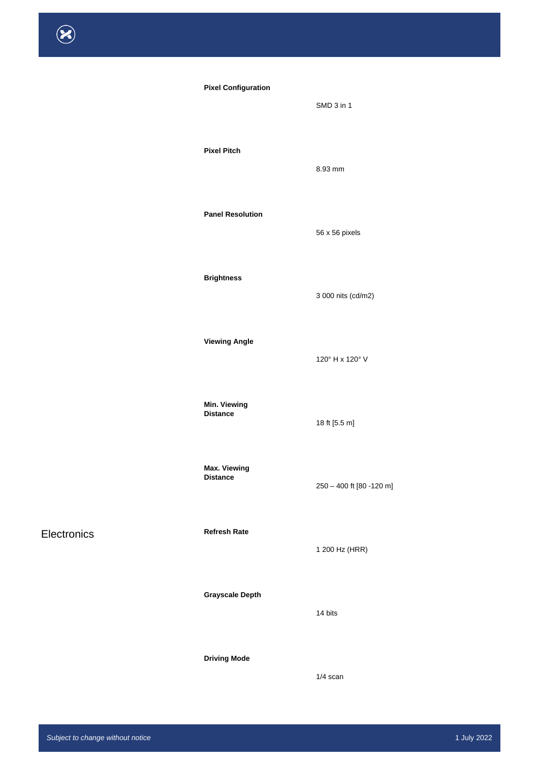| <b>Pixel Configuration</b> |
|----------------------------|
|----------------------------|

#### **Pixel Pitch**

#### **Panel Resolution**

#### **Brightness**

**Viewing Angle**

#### **Min. Viewing Distance**

**Max. Viewing**

**Distance**

Electronics **Refresh Rate** 

#### **Grayscale Depth**

#### **Driving Mode**

56 x 56 pixels

SMD 3 in 1

8.93 mm

3 000 nits (cd/m2)

120° H x 120° V

18 ft [5.5 m]

250 – 400 ft [80 -120 m]

1 200 Hz (HRR)

14 bits

1/4 scan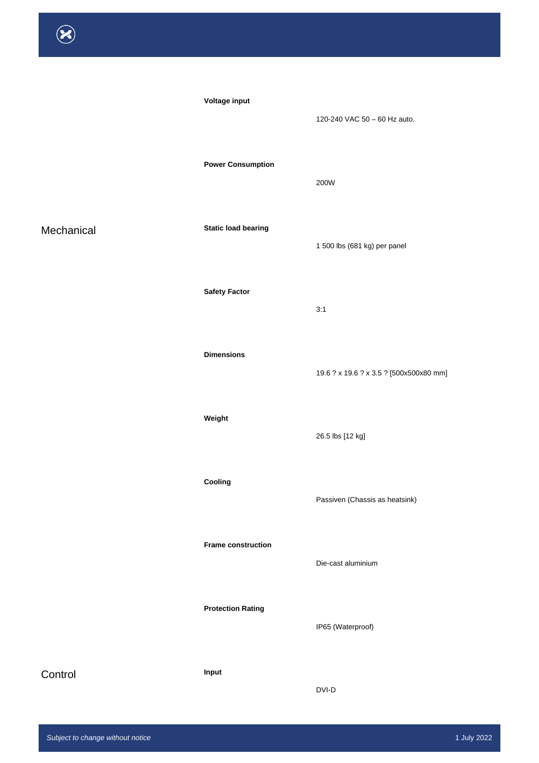**Voltage input** 

#### **Power Consumption**

Mechanical **Static load bearing** 

#### **Safety Factor**

**Dimensions**

**Weight**

**Cooling**

**Frame construction**

**Protection Rating**

Control **Input** 

120-240 VAC 50 – 60 Hz auto.

200W

1 500 lbs (681 kg) per panel

3:1

19.6 ? x 19.6 ? x 3.5 ? [500x500x80 mm]

26.5 lbs [12 kg]

Passiven (Chassis as heatsink)

Die-cast aluminium

IP65 (Waterproof)

DVI-D